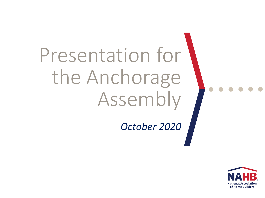## Presentation for the Anchorage Assembly

#### *October 2020*

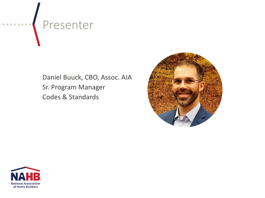### Presenter

Daniel Buuck, CBO, Assoc. AIA Sr. Program Manager Codes & Standards





. . . . .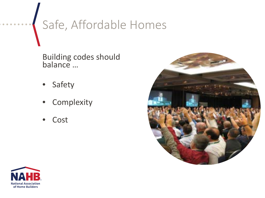### Safe, Affordable Homes

Building codes should balance …

- **Safety**
- **Complexity**
- **Cost**





 $\begin{array}{ccccccccccccccccc} \bullet & \bullet & \bullet & \bullet & \bullet & \bullet \end{array}$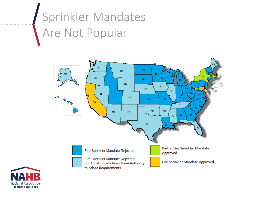#### Sprinkler Mandates Are Not Popular





. . . . . .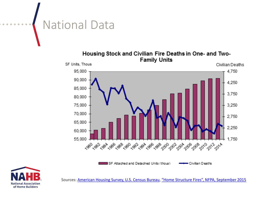#### National Data  $\bullet$   $\bullet$   $\bullet$

Housing Stock and Civilian Fire Deaths in One- and Two-**Family Units** SF Units, Thous Civilian Deaths 95,000 4.750 90,000 4.250 85,000 3,750 80,000 75,000 3,250 70,000 2,750 65,000 2,250 60,000 55,000 1.750 <sub></sub>৻<sub>ঔ</sub>ঌ৾৻<sub>ঔ</sub>ঌ৻<sub>৻</sub>ৡঌ৾৻*ৡ*ঌ৾৻*ৡ*ঌ৾৻*ড়*ঌ৾৻*ৡ*ঌ৾<sub>৻</sub>ড়৾৽<sub>৻</sub>ড়৾৽৻ড়৾৽৻ড়৽ৢ৻৽৽ৢ৻৽৴ৢ৻৲ SF Attached and Detached Units (thous) Civilian Deaths



Sources: [American Housing Survey, U.S. Census Bureau,](http://www.census.gov/programs-surveys/ahs/data.2011.html) ["Home Structure Fires", NFPA, September 2015](http://www.nfpa.org/news-and-research/fire-statistics-and-reports/fire-statistics/fires-by-property-type/residential/home-structure-fires)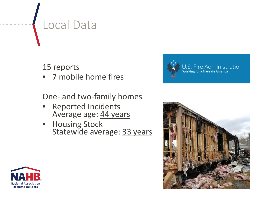#### Local Data

15 reports

• 7 mobile home fires

One- and two-family homes

- Reported Incidents Average age: 44 years
- **Housing Stock** Statewide average: 33 years





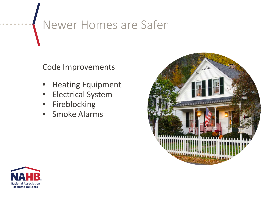#### Newer Homes are Safer

Code Improvements

- Heating Equipment
- Electrical System
- **Fireblocking**
- Smoke Alarms



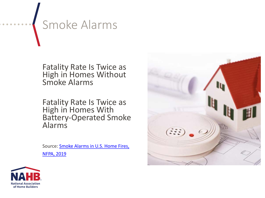### Smoke Alarms

Fatality Rate Is Twice as High in Homes Without Smoke Alarms

Fatality Rate Is Twice as High in Homes With Battery-Operated Smoke Alarms

[Source: Smoke Alarms in U.S. Home Fires,](https://www.nfpa.org/-/media/Files/News-and-Research/Fire-statistics-and-reports/Detection-and-signaling/ossmokealarms.pdf) NFPA, 2019



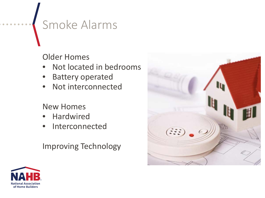#### Smoke Alarms

Older Homes

- Not located in bedrooms
- **Battery operated**
- Not interconnected

New Homes

- **Hardwired**
- Interconnected

Improving Technology



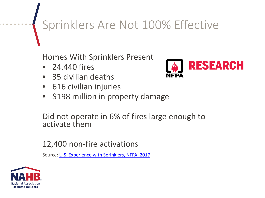### Sprinklers Are Not 100% Effective

Homes With Sprinklers Present

- 24,440 fires
- 35 civilian deaths
- 616 civilian injuries
- \$198 million in property damage

Did not operate in 6% of fires large enough to activate them

12,400 non-fire activations

Source: [U.S. Experience with Sprinklers, NFPA, 2017](https://www.nfpa.org/-/media/Files/News-and-Research/Fire-statistics-and-reports/Suppression/ossprinklers.pdf)



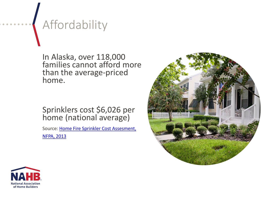#### Affordability

In Alaska, over 118,000 families cannot afford more than the average-priced home.

Sprinklers cost \$6,026 per home (national average)

Source: Home Fire Sprinkler Cost Assesment, NFPA, 2013